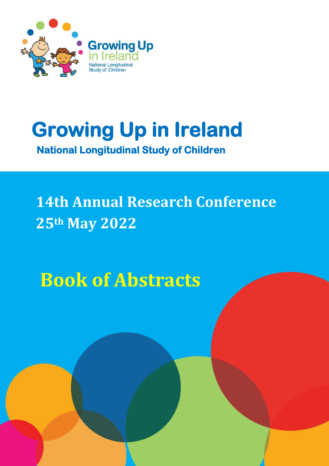

# **Growing Up in Ireland**

 **National Longitudinal Study of Children** 

# **14th Annual Research Conference 25th May 2022**

**Book of Abstracts**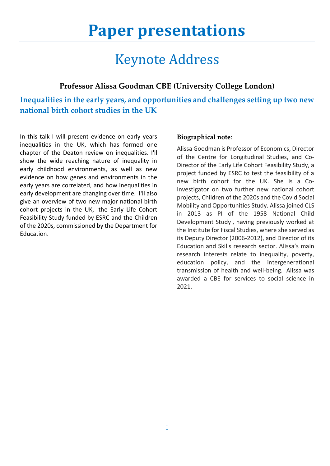## **Paper presentations**

## Keynote Address

### **Professor Alissa Goodman CBE (University College London)**

**Inequalities in the early years, and opportunities and challenges setting up two new national birth cohort studies in the UK**

In this talk I will present evidence on early years inequalities in the UK, which has formed one chapter of the Deaton review on inequalities. I'll show the wide reaching nature of inequality in early childhood environments, as well as new evidence on how genes and environments in the early years are correlated, and how inequalities in early development are changing over time. I'll also give an overview of two new major national birth cohort projects in the UK, the Early Life Cohort Feasibility Study funded by ESRC and the Children of the 2020s, commissioned by the Department for Education.

#### **Biographical note**:

Alissa Goodman is Professor of Economics, Director of the Centre for Longitudinal Studies, and Co-Director of the Early Life Cohort Feasibility Study, a project funded by ESRC to test the feasibility of a new birth cohort for the UK. She is a Co-Investigator on two further new national cohort projects, Children of the 2020s and the Covid Social Mobility and Opportunities Study. Alissa joined CLS in 2013 as PI of the 1958 National Child Development Study , having previously worked at the Institute for Fiscal Studies, where she served as its Deputy Director (2006-2012), and Director of its Education and Skills research sector. Alissa's main research interests relate to inequality, poverty, education policy, and the intergenerational transmission of health and well-being. Alissa was awarded a CBE for services to social science in 2021.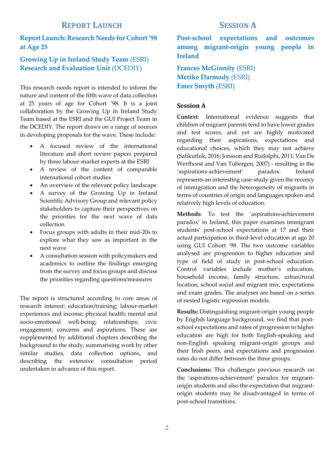#### **REPORT LAUNCH SESSION A**

#### **Report Launch: Research Needs for Cohort '98 at Age 25**

#### **Growing Up in Ireland Study Team** (ESRI) **Research and Evaluation Unit** (DCEDIY)

This research needs report is intended to inform the nature and content of the fifth wave of data collection at 25 years of age for Cohort '98. It is a joint collaboration by the Growing Up in Ireland Study Team based at the ESRI and the GUI Project Team in the DCEDIY. The report draws on a range of sources in developing proposals for the wave. These include:

- A focused review of the international literature and short review papers prepared by three labour-market experts at the ESRI
- A review of the content of comparable international cohort studies
- An overview of the relevant policy landscape
- A survey of the Growing Up in Ireland Scientific Advisory Group and relevant policy stakeholders to capture their perspectives on the priorities for the next wave of data collection
- Focus groups with adults in their mid-20s to explore what they saw as important in the next wave
- A consultation session with policymakers and academics to outline the findings emerging from the survey and focus groups and discuss the priorities regarding questions/measures

The report is structured according to core areas of research interest: education/training; labour-market experiences and income; physical health; mental and socio-emotional well-being; relationships; civic engagement; concerns and aspirations. These are supplemented by additional chapters describing the background to the study, summarising work by other similar studies, data collection options, and describing the extensive consultation period undertaken in advance of this report.

**Post-school expectations and outcomes among migrant-origin young people in Ireland**

**Frances McGinnity** (ESRI) **Merike Darmody** (ESRI) **Emer Smyth** (ESRI)

#### **Session A**

**Context**: International evidence suggests that children of migrant parents tend to have lower grades and test scores, and yet are highly motivated regarding their aspirations, expectations and educational choices, which they may not achieve (Salikutluk, 2016; Jonsson and Rudolphi, 2011; Van De Werfhorst and Van Tubergen, 2007) - resulting in the 'aspirations-achievement' paradox. Ireland represents an interesting case-study given the recency of immigration and the heterogeneity of migrants in terms of countries of origin and languages spoken and relatively high levels of education.

**Methods**: To test the 'aspirations-achievement paradox' in Ireland, this paper examines immigrant students' post-school expectations at 17 and their actual participation in third-level education at age 20 using GUI Cohort '98. The two outcome variables analysed are progression to higher education and type of field of study in post-school education. Control variables include mother's education, household income, family structure, urban/rural location, school social and migrant mix, expectations and exam grades. The analyses are based on a series of nested logistic regression models.

**Results:** Distinguishing migrant-origin young people by English language background, we find that postschool expectations and rates of progression to higher education are high for both English-speaking and non-English speaking migrant-origin groups and their Irish peers, and expectations and progression rates do not differ between the three groups.

**Conclusions:** This challenges previous research on the 'aspirations-achievement' paradox for migrantorigin students and also the expectation that migrantorigin students may be disadvantaged in terms of post-school transitions.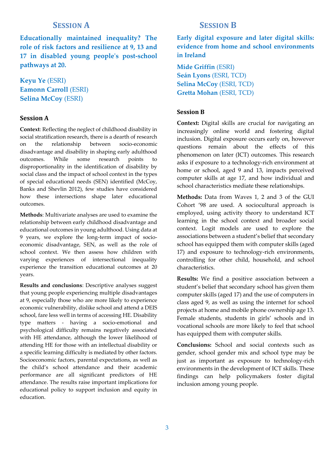**Educationally maintained inequality? The role of risk factors and resilience at 9, 13 and 17 in disabled young people's post-school pathways at 20.** 

**Keyu Ye** (ESRI) **Eamonn Carroll** (ESRI) **Selina McCoy** (ESRI)

#### **Session A**

**Context**: Reflecting the neglect of childhood disability in social stratification research, there is a dearth of research on the relationship between socio-economic disadvantage and disability in shaping early adulthood outcomes. While some research points to disproportionality in the identification of disability by social class and the impact of school context in the types of special educational needs (SEN) identified (McCoy, Banks and Shevlin 2012), few studies have considered how these intersections shape later educational outcomes.

**Methods**: Multivariate analyses are used to examine the relationship between early childhood disadvantage and educational outcomes in young adulthood. Using data at 9 years, we explore the long-term impact of socioeconomic disadvantage, SEN, as well as the role of school context. We then assess how children with varying experiences of intersectional inequality experience the transition educational outcomes at 20 years.

**Results and conclusions**: Descriptive analyses suggest that young people experiencing multiple disadvantages at 9, especially those who are more likely to experience economic vulnerability, dislike school and attend a DEIS school, fare less well in terms of accessing HE. Disability type matters - having a socio-emotional and psychological difficulty remains negatively associated with HE attendance, although the lower likelihood of attending HE for those with an intellectual disability or a specific learning difficulty is mediated by other factors. Socioeconomic factors, parental expectations, as well as the child's school attendance and their academic performance are all significant predictors of HE attendance. The results raise important implications for educational policy to support inclusion and equity in education.

#### **SESSION A SESSION B**

**Early digital exposure and later digital skills: evidence from home and school environments in Ireland**

**Míde Griffin** (ESRI) **Seán Lyons** (ESRI, TCD) **Selina McCoy** (ESRI, TCD) **Gretta Mohan** (ESRI, TCD)

#### **Session B**

**Context:** Digital skills are crucial for navigating an increasingly online world and fostering digital inclusion. Digital exposure occurs early on, however questions remain about the effects of this phenomenon on later (ICT) outcomes. This research asks if exposure to a technology-rich environment at home or school, aged 9 and 13, impacts perceived computer skills at age 17, and how individual and school characteristics mediate these relationships.

**Methods:** Data from Waves 1, 2 and 3 of the GUI Cohort '98 are used. A sociocultural approach is employed, using activity theory to understand ICT learning in the school context and broader social context. Logit models are used to explore the associations between a student's belief that secondary school has equipped them with computer skills (aged 17) and exposure to technology-rich environments, controlling for other child, household, and school characteristics.

**Results:** We find a positive association between a student's belief that secondary school has given them computer skills (aged 17) and the use of computers in class aged 9, as well as using the internet for school projects at home and mobile phone ownership age 13. Female students, students in girls' schools and in vocational schools are more likely to feel that school has equipped them with computer skills.

**Conclusions:** School and social contexts such as gender, school gender mix and school type may be just as important as exposure to technology-rich environments in the development of ICT skills. These findings can help policymakers foster digital inclusion among young people.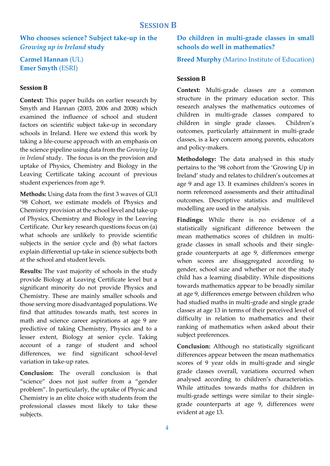**Who chooses science? Subject take-up in the**  *Growing up in Ireland* **study**

**Carmel Hannan** (UL) **Emer Smyth** (ESRI)

#### **Session B**

**Context:** This paper builds on earlier research by Smyth and Hannan (2003, 2006 and 2008) which examined the influence of school and student factors on scientific subject take-up in secondary schools in Ireland. Here we extend this work by taking a life-course approach with an emphasis on the science pipeline using data from the *Growing Up in Ireland* study. The focus is on the provision and uptake of Physics, Chemistry and Biology in the Leaving Certificate taking account of previous student experiences from age 9.

**Methods:** Using data from the first 3 waves of GUI '98 Cohort, we estimate models of Physics and Chemistry provision at the school level and take-up of Physics, Chemistry and Biology in the Leaving Certificate. Our key research questions focus on (a) what schools are unlikely to provide scientific subjects in the senior cycle and (b) what factors explain differential up-take in science subjects both at the school and student levels.

**Results:** The vast majority of schools in the study provide Biology at Leaving Certificate level but a significant minority do not provide Physics and Chemistry. These are mainly smaller schools and those serving more disadvantaged populations. We find that attitudes towards math, test scores in math and science career aspirations at age 9 are predictive of taking Chemistry, Physics and to a lesser extent, Biology at senior cycle. Taking account of a range of student and school differences, we find significant school-level variation in take-up rates.

**Conclusion:** The overall conclusion is that "science" does not just suffer from a "gender problem". In particularly, the uptake of Physic and Chemistry is an elite choice with students from the professional classes most likely to take these subjects.

#### **Do children in multi-grade classes in small schools do well in mathematics?**

**Breed Murphy** (Marino Institute of Education)

#### **Session B**

**Context:** Multi-grade classes are a common structure in the primary education sector. This research analyses the mathematics outcomes of children in multi-grade classes compared to children in single grade classes. Children's outcomes, particularly attainment in multi-grade classes, is a key concern among parents, educators and policy-makers.

**Methodology:** The data analysed in this study pertains to the '98 cohort from the 'Growing Up in Ireland' study and relates to children's outcomes at age 9 and age 13. It examines children's scores in norm referenced assessments and their attitudinal outcomes. Descriptive statistics and multilevel modelling are used in the analysis.

**Findings:** While there is no evidence of a statistically significant difference between the mean mathematics scores of children in multigrade classes in small schools and their singlegrade counterparts at age 9, differences emerge when scores are disaggregated according to gender, school size and whether or not the study child has a learning disability. While dispositions towards mathematics appear to be broadly similar at age 9, differences emerge between children who had studied maths in multi-grade and single grade classes at age 13 in terms of their perceived level of difficulty in relation to mathematics and their ranking of mathematics when asked about their subject preferences.

**Conclusion:** Although no statistically significant differences appear between the mean mathematics scores of 9 year olds in multi-grade and single grade classes overall, variations occurred when analysed according to children's characteristics. While attitudes towards maths for children in multi-grade settings were similar to their singlegrade counterparts at age 9, differences were evident at age 13.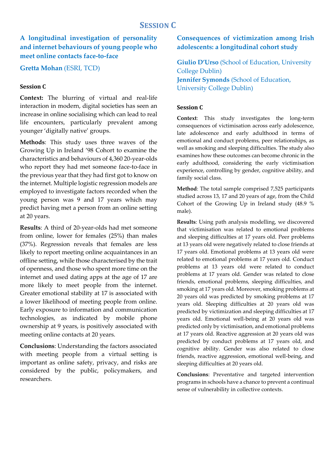### **A longitudinal investigation of personality and internet behaviours of young people who meet online contacts face-to-face**

**Gretta Mohan** (ESRI, TCD)

#### **Session C**

**Context:** The blurring of virtual and real-life interaction in modern, digital societies has seen an increase in online socialising which can lead to real life encounters, particularly prevalent among younger 'digitally native' groups.

**Methods**: This study uses three waves of the Growing Up in Ireland '98 Cohort to examine the characteristics and behaviours of 4,360 20-year-olds who report they had met someone face-to-face in the previous year that they had first got to know on the internet. Multiple logistic regression models are employed to investigate factors recorded when the young person was 9 and 17 years which may predict having met a person from an online setting at 20 years.

**Results**: A third of 20-year-olds had met someone from online, lower for females (25%) than males (37%). Regression reveals that females are less likely to report meeting online acquaintances in an offline setting, while those characterised by the trait of openness, and those who spent more time on the internet and used dating apps at the age of 17 are more likely to meet people from the internet. Greater emotional stability at 17 is associated with a lower likelihood of meeting people from online. Early exposure to information and communication technologies, as indicated by mobile phone ownership at 9 years, is positively associated with meeting online contacts at 20 years.

**Conclusions**: Understanding the factors associated with meeting people from a virtual setting is important as online safety, privacy, and risks are considered by the public, policymakers, and researchers.

#### **Consequences of victimization among Irish adolescents: a longitudinal cohort study**

**Giulio D'Urso** (School of Education, University College Dublin) **Jennifer Symonds** (School of Education, University College Dublin)

#### **Session C**

**Context**: This study investigates the long-term consequences of victimisation across early adolescence, late adolescence and early adulthood in terms of emotional and conduct problems, peer relationships, as well as smoking and sleeping difficulties. The study also examines how these outcomes can become chronic in the early adulthood, considering the early victimisation experience, controlling by gender, cognitive ability, and family social class.

**Method**: The total sample comprised 7,525 participants studied across 13, 17 and 20 years of age, from the Child Cohort of the Growing Up in Ireland study (48.9 % male).

**Results**: Using path analysis modelling, we discovered that victimisation was related to emotional problems and sleeping difficulties at 17 years old. Peer problems at 13 years old were negatively related to close friends at 17 years old. Emotional problems at 13 years old were related to emotional problems at 17 years old. Conduct problems at 13 years old were related to conduct problems at 17 years old. Gender was related to close friends, emotional problems, sleeping difficulties, and smoking at 17 years old. Moreover, smoking problems at 20 years old was predicted by smoking problems at 17 years old. Sleeping difficulties at 20 years old was predicted by victimization and sleeping difficulties at 17 years old. Emotional well-being at 20 years old was predicted only by victimisation, and emotional problems at 17 years old. Reactive aggression at 20 years old was predicted by conduct problems at 17 years old, and cognitive ability. Gender was also related to close friends, reactive aggression, emotional well-being, and sleeping difficulties at 20 years old.

**Conclusions**: Preventative and targeted intervention programs in schools have a chance to prevent a continual sense of vulnerability in collective contexts.